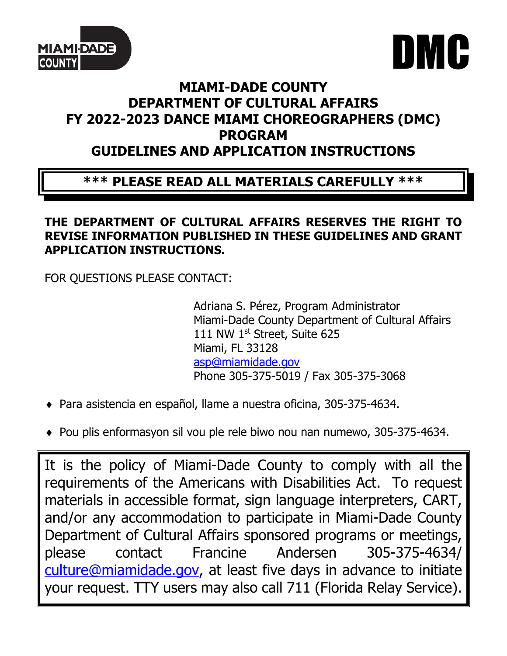



# **MIAMI-DADE COUNTY DEPARTMENT OF CULTURAL AFFAIRS FY 2022-2023 DANCE MIAMI CHOREOGRAPHERS (DMC) PROGRAM GUIDELINES AND APPLICATION INSTRUCTIONS**

# **\*\*\* PLEASE READ ALL MATERIALS CAREFULLY \*\*\***

# **THE DEPARTMENT OF CULTURAL AFFAIRS RESERVES THE RIGHT TO REVISE INFORMATION PUBLISHED IN THESE GUIDELINES AND GRANT APPLICATION INSTRUCTIONS.**

FOR QUESTIONS PLEASE CONTACT:

Adriana S. Pérez, Program Administrator Miami-Dade County Department of Cultural Affairs 111 NW 1<sup>st</sup> Street, Suite 625 Miami, FL 33128 [asp@miamidade.gov](mailto:asp@miamidade.gov) Phone 305-375-5019 / Fax 305-375-3068

- ♦ Para asistencia en español, llame a nuestra oficina, 305-375-4634.
- ♦ Pou plis enformasyon sil vou ple rele biwo nou nan numewo, 305-375-4634.

It is the policy of Miami-Dade County to comply with all the requirements of the Americans with Disabilities Act. To request materials in accessible format, sign language interpreters, CART, and/or any accommodation to participate in Miami-Dade County Department of Cultural Affairs sponsored programs or meetings, please contact Francine Andersen 305-375-4634/ [culture@miamidade.gov,](mailto:culture@miamidade.gov) at least five days in advance to initiate your request. TTY users may also call 711 (Florida Relay Service).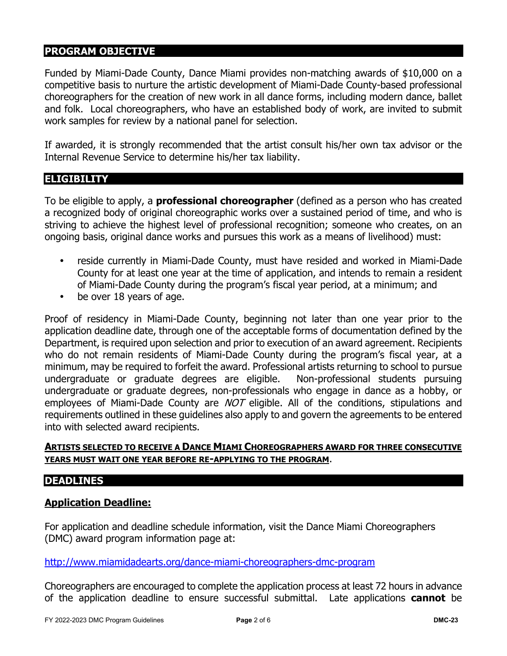# **PROGRAM OBJECTIVE**

Funded by Miami-Dade County, Dance Miami provides non-matching awards of \$10,000 on a competitive basis to nurture the artistic development of Miami-Dade County-based professional choreographers for the creation of new work in all dance forms, including modern dance, ballet and folk. Local choreographers, who have an established body of work, are invited to submit work samples for review by a national panel for selection.

If awarded, it is strongly recommended that the artist consult his/her own tax advisor or the Internal Revenue Service to determine his/her tax liability.

#### **ELIGIBILITY**

To be eligible to apply, a **professional choreographer** (defined as a person who has created a recognized body of original choreographic works over a sustained period of time, and who is striving to achieve the highest level of professional recognition; someone who creates, on an ongoing basis, original dance works and pursues this work as a means of livelihood) must:

- reside currently in Miami-Dade County, must have resided and worked in Miami-Dade County for at least one year at the time of application, and intends to remain a resident of Miami-Dade County during the program's fiscal year period, at a minimum; and
- be over 18 years of age.

Proof of residency in Miami-Dade County, beginning not later than one year prior to the application deadline date, through one of the acceptable forms of documentation defined by the Department, is required upon selection and prior to execution of an award agreement. Recipients who do not remain residents of Miami-Dade County during the program's fiscal year, at a minimum, may be required to forfeit the award. Professional artists returning to school to pursue undergraduate or graduate degrees are eligible. Non-professional students pursuing undergraduate or graduate degrees, non-professionals who engage in dance as a hobby, or employees of Miami-Dade County are *NOT* eligible. All of the conditions, stipulations and requirements outlined in these guidelines also apply to and govern the agreements to be entered into with selected award recipients.

#### **ARTISTS SELECTED TO RECEIVE A DANCE MIAMI CHOREOGRAPHERS AWARD FOR THREE CONSECUTIVE YEARS MUST WAIT ONE YEAR BEFORE RE-APPLYING TO THE PROGRAM**.

#### **DEADLINES**

#### **Application Deadline:**

For application and deadline schedule information, visit the Dance Miami Choreographers (DMC) award program information page at:

#### <http://www.miamidadearts.org/dance-miami-choreographers-dmc-program>

Choreographers are encouraged to complete the application process at least 72 hours in advance of the application deadline to ensure successful submittal. Late applications **cannot** be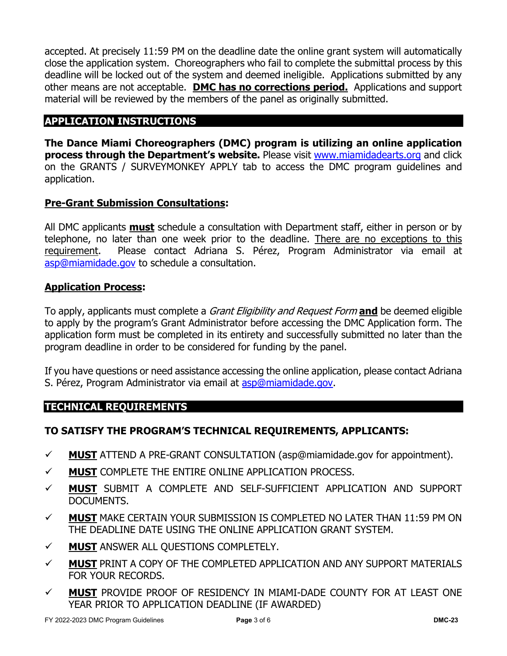accepted. At precisely 11:59 PM on the deadline date the online grant system will automatically close the application system. Choreographers who fail to complete the submittal process by this deadline will be locked out of the system and deemed ineligible. Applications submitted by any other means are not acceptable. **DMC has no corrections period.** Applications and support material will be reviewed by the members of the panel as originally submitted.

# **APPLICATION INSTRUCTIONS**

**The Dance Miami Choreographers (DMC) program is utilizing an online application process through the Department's website.** Please visit [www.miamidadearts.org](http://www.miamidadearts.org/) and click on the GRANTS / SURVEYMONKEY APPLY tab to access the DMC program guidelines and application.

#### **Pre-Grant Submission Consultations:**

All DMC applicants **must** schedule a consultation with Department staff, either in person or by telephone, no later than one week prior to the deadline. There are no exceptions to this requirement. Please contact Adriana S. Pérez, Program Administrator via email at [asp@miamidade.gov](mailto:asp@miamidade.gov) to schedule a consultation.

#### **Application Process:**

To apply, applicants must complete a Grant Eligibility and Request Form **and** be deemed eligible to apply by the program's Grant Administrator before accessing the DMC Application form. The application form must be completed in its entirety and successfully submitted no later than the program deadline in order to be considered for funding by the panel.

If you have questions or need assistance accessing the online application, please contact Adriana S. Pérez, Program Administrator via email at [asp@miamidade.gov.](mailto:asp@miamidade.gov)

# **TECHNICAL REQUIREMENTS**

# **TO SATISFY THE PROGRAM'S TECHNICAL REQUIREMENTS, APPLICANTS:**

- **MUST** ATTEND A PRE-GRANT CONSULTATION (asp@miamidade.gov for appointment).
- **MUST** COMPLETE THE ENTIRE ONLINE APPLICATION PROCESS.
- **MUST** SUBMIT A COMPLETE AND SELF-SUFFICIENT APPLICATION AND SUPPORT DOCUMENTS.
- **MUST** MAKE CERTAIN YOUR SUBMISSION IS COMPLETED NO LATER THAN 11:59 PM ON THE DEADLINE DATE USING THE ONLINE APPLICATION GRANT SYSTEM.
- **MUST** ANSWER ALL QUESTIONS COMPLETELY.
- **MUST** PRINT A COPY OF THE COMPLETED APPLICATION AND ANY SUPPORT MATERIALS FOR YOUR RECORDS.
- **MUST** PROVIDE PROOF OF RESIDENCY IN MIAMI-DADE COUNTY FOR AT LEAST ONE YEAR PRIOR TO APPLICATION DEADLINE (IF AWARDED)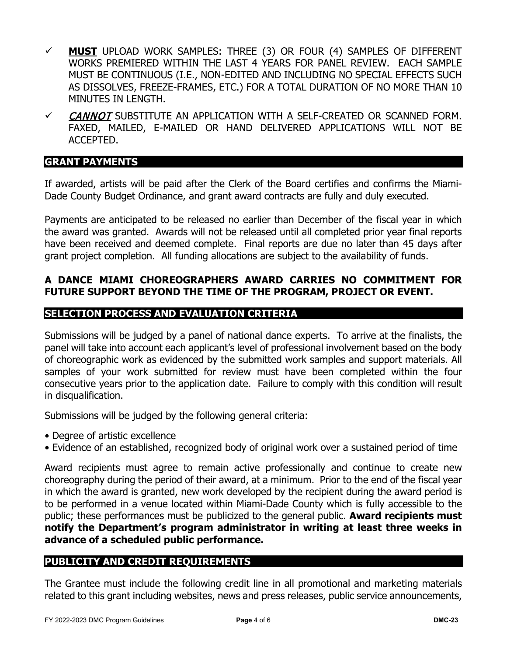- **MUST** UPLOAD WORK SAMPLES: THREE (3) OR FOUR (4) SAMPLES OF DIFFERENT WORKS PREMIERED WITHIN THE LAST 4 YEARS FOR PANEL REVIEW. EACH SAMPLE MUST BE CONTINUOUS (I.E., NON-EDITED AND INCLUDING NO SPECIAL EFFECTS SUCH AS DISSOLVES, FREEZE-FRAMES, ETC.) FOR A TOTAL DURATION OF NO MORE THAN 10 MINUTES IN LENGTH.
- $\checkmark$  *CANNOT* SUBSTITUTE AN APPLICATION WITH A SELF-CREATED OR SCANNED FORM. FAXED, MAILED, E-MAILED OR HAND DELIVERED APPLICATIONS WILL NOT BE ACCEPTED.

#### **GRANT PAYMENTS**

If awarded, artists will be paid after the Clerk of the Board certifies and confirms the Miami-Dade County Budget Ordinance, and grant award contracts are fully and duly executed.

Payments are anticipated to be released no earlier than December of the fiscal year in which the award was granted. Awards will not be released until all completed prior year final reports have been received and deemed complete. Final reports are due no later than 45 days after grant project completion. All funding allocations are subject to the availability of funds.

# **A DANCE MIAMI CHOREOGRAPHERS AWARD CARRIES NO COMMITMENT FOR FUTURE SUPPORT BEYOND THE TIME OF THE PROGRAM, PROJECT OR EVENT.**

# **SELECTION PROCESS AND EVALUATION CRITERIA**

Submissions will be judged by a panel of national dance experts. To arrive at the finalists, the panel will take into account each applicant's level of professional involvement based on the body of choreographic work as evidenced by the submitted work samples and support materials. All samples of your work submitted for review must have been completed within the four consecutive years prior to the application date. Failure to comply with this condition will result in disqualification.

Submissions will be judged by the following general criteria:

- Degree of artistic excellence
- Evidence of an established, recognized body of original work over a sustained period of time

Award recipients must agree to remain active professionally and continue to create new choreography during the period of their award, at a minimum. Prior to the end of the fiscal year in which the award is granted, new work developed by the recipient during the award period is to be performed in a venue located within Miami-Dade County which is fully accessible to the public; these performances must be publicized to the general public. **Award recipients must notify the Department's program administrator in writing at least three weeks in advance of a scheduled public performance.**

#### **PUBLICITY AND CREDIT REQUIREMENTS**

The Grantee must include the following credit line in all promotional and marketing materials related to this grant including websites, news and press releases, public service announcements,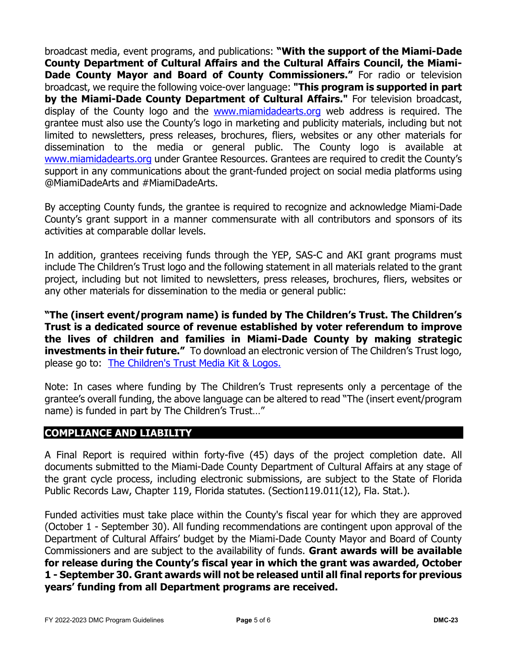broadcast media, event programs, and publications: **"With the support of the Miami-Dade County Department of Cultural Affairs and the Cultural Affairs Council, the Miami-Dade County Mayor and Board of County Commissioners."** For radio or television broadcast, we require the following voice-over language: **"This program is supported in part by the Miami-Dade County Department of Cultural Affairs."** For television broadcast, display of the County logo and the [www.miamidadearts.org](http://www.miamidadearts.org/) web address is required. The grantee must also use the County's logo in marketing and publicity materials, including but not limited to newsletters, press releases, brochures, fliers, websites or any other materials for dissemination to the media or general public. The County logo is available at [www.miamidadearts.org](http://www.miamidadearts.org/) under Grantee Resources. Grantees are required to credit the County's support in any communications about the grant-funded project on social media platforms using @MiamiDadeArts and #MiamiDadeArts.

By accepting County funds, the grantee is required to recognize and acknowledge Miami-Dade County's grant support in a manner commensurate with all contributors and sponsors of its activities at comparable dollar levels.

In addition, grantees receiving funds through the YEP, SAS-C and AKI grant programs must include The Children's Trust logo and the following statement in all materials related to the grant project, including but not limited to newsletters, press releases, brochures, fliers, websites or any other materials for dissemination to the media or general public:

**"The (insert event/program name) is funded by The Children's Trust. The Children's Trust is a dedicated source of revenue established by voter referendum to improve the lives of children and families in Miami-Dade County by making strategic investments in their future."** To download an electronic version of The Children's Trust logo, please go to: [The Children's Trust Media Kit & Logos.](http://www.thechildrenstrust.org/providers/news/media-kit)

Note: In cases where funding by The Children's Trust represents only a percentage of the grantee's overall funding, the above language can be altered to read "The (insert event/program name) is funded in part by The Children's Trust…"

# **COMPLIANCE AND LIABILITY**

A Final Report is required within forty-five (45) days of the project completion date. All documents submitted to the Miami-Dade County Department of Cultural Affairs at any stage of the grant cycle process, including electronic submissions, are subject to the State of Florida Public Records Law, Chapter 119, Florida statutes. (Section119.011(12), Fla. Stat.).

Funded activities must take place within the County's fiscal year for which they are approved (October 1 - September 30). All funding recommendations are contingent upon approval of the Department of Cultural Affairs' budget by the Miami-Dade County Mayor and Board of County Commissioners and are subject to the availability of funds. **Grant awards will be available for release during the County's fiscal year in which the grant was awarded, October 1 - September 30. Grant awards will not be released until all final reports for previous years' funding from all Department programs are received.**